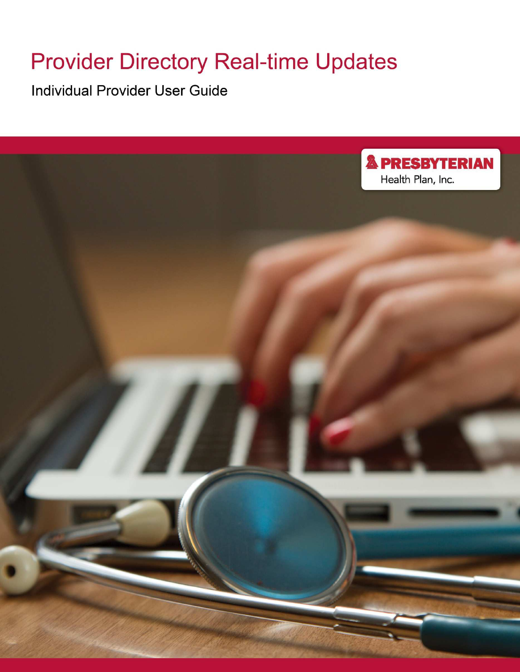# **Provider Directory Real-time Updates**

**Individual Provider User Guide** 

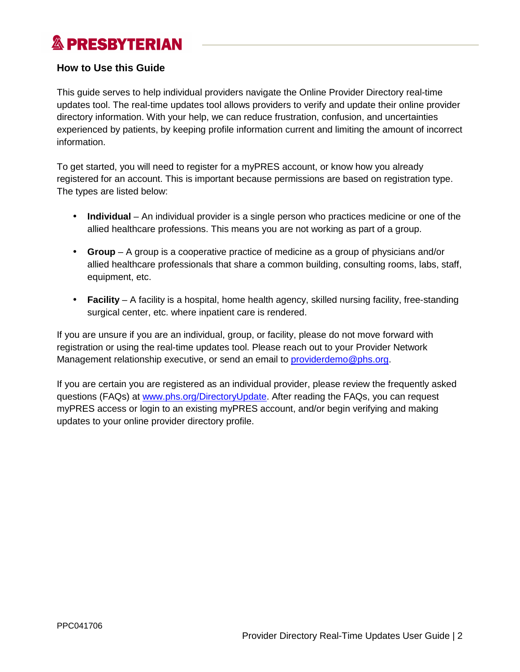## **How to Use this Guide**

This guide serves to help individual providers navigate the Online Provider Directory real-time updates tool. The real-time updates tool allows providers to verify and update their online provider directory information. With your help, we can reduce frustration, confusion, and uncertainties experienced by patients, by keeping profile information current and limiting the amount of incorrect information.

To get started, you will need to register for a myPRES account, or know how you already registered for an account. This is important because permissions are based on registration type. The types are listed below:

- **Individual** An individual provider is a single person who practices medicine or one of the allied healthcare professions. This means you are not working as part of a group.
- **Group** A group is a cooperative practice of medicine as a group of physicians and/or allied healthcare professionals that share a common building, consulting rooms, labs, staff, equipment, etc.
- **Facility** A facility is a hospital, home health agency, skilled nursing facility, free-standing surgical center, etc. where inpatient care is rendered.

If you are unsure if you are an individual, group, or facility, please do not move forward with registration or using the real-time updates tool. Please reach out to your Provider Network Management relationship executive, or send an email to *[providerdemo@phs.org](mailto:providerdemo@phs.org)*.

If you are certain you are registered as an individual provider, please review the frequently asked questions (FAQs) at [www.phs.org/DirectoryUpdate](http://www.phs.org/DirectoryUpdate). After reading the FAQs, you can request myPRES access or login to an existing myPRES account, and/or begin verifying and making updates to your online provider directory profile.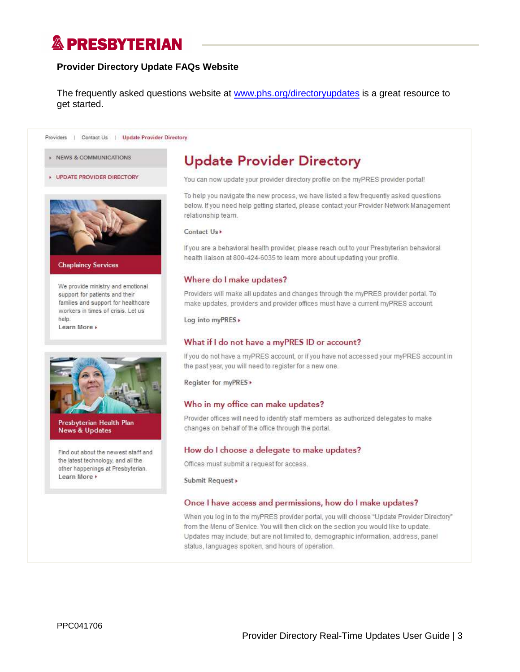### **Provider Directory Update FAQs Website**

The frequently asked questions website at [www.phs.org/directoryupdate](http://www.phs.org/directoryupdates)s is a great resource to get started.

Providers | Contact Us | Update Provider Directory

- NEWS & COMMUNICATIONS
- **UPDATE PROVIDER DIRECTORY**



#### **Chaplaincy Services**

We provide ministry and emotional support for patients and their families and support for healthcare workers in times of crisis. Let us help. Learn More

Presbyterian Health Plan **News & Updates** 

Find out about the newest staff and the latest technology, and all the other happenings at Presbyterian. Learn More +

# **Update Provider Directory**

You can now update your provider directory profile on the myPRES provider portal!

To help you navigate the new process, we have listed a few frequently asked questions below. If you need help getting started, please contact your Provider Network Management relationship team.

#### Contact Us

If you are a behavioral health provider, please reach out to your Presbyterian behavioral health liaison at 800-424-6035 to learn more about updating your profile.

#### Where do I make updates?

Providers will make all updates and changes through the myPRES provider portal. To make updates, providers and provider offices must have a current myPRES account.

Log into myPRES »

#### What if I do not have a myPRES ID or account?

If you do not have a myPRES account, or if you have not accessed your myPRES account in the past year, you will need to register for a new one.

Register for myPRES >

#### Who in my office can make updates?

Provider offices will need to identify staff members as authorized delegates to make changes on behalf of the office through the portal.

#### How do I choose a delegate to make updates?

Offices must submit a request for access.

Submit Request »

#### Once I have access and permissions, how do I make updates?

When you log in to the myPRES provider portal, you will choose "Update Provider Directory" from the Menu of Service. You will then click on the section you would like to update. Updates may include, but are not limited to, demographic information, address, panel status, languages spoken, and hours of operation.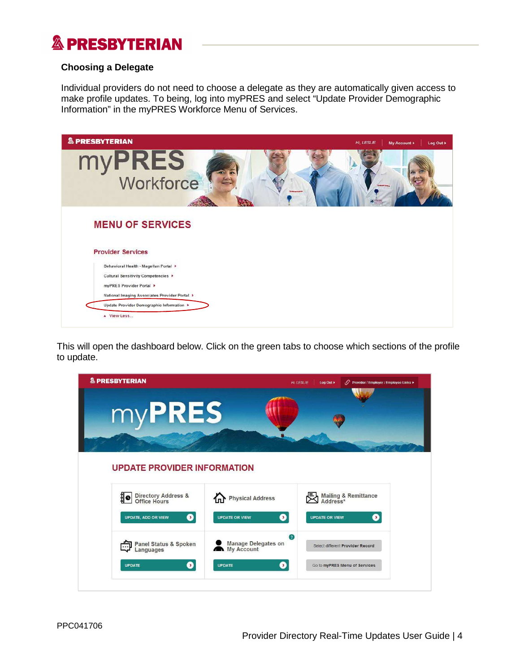### **Choosing a Delegate**

Individual providers do not need to choose a delegate as they are automatically given access to make profile updates. To being, log into myPRES and select "Update Provider Demographic Information" in the myPRES Workforce Menu of Services.

| & PRESBYTERIAN                                | Hi. LESLIE<br>My Account ><br>Log Out > |
|-----------------------------------------------|-----------------------------------------|
| myPRES<br>Workforce<br><b>Entrancement</b>    |                                         |
| <b>MENU OF SERVICES</b>                       |                                         |
| <b>Provider Services</b>                      |                                         |
| Behavioral Health - Magellan Portal >         |                                         |
| Cultural Sensitivity Competencies >           |                                         |
| myPRES Provider Portal >                      |                                         |
| National Imaging Associates Provider Portal > |                                         |
| Update Provider Demographic Information >     |                                         |
| A View Less                                   |                                         |

This will open the dashboard below. Click on the green tabs to choose which sections of the profile to update.

| & PRESBYTERIAN                                                                            |                                                                           | Hi, LESLIE<br>Log Out > | ● Provider / Employer / Employee Links ▶                          |
|-------------------------------------------------------------------------------------------|---------------------------------------------------------------------------|-------------------------|-------------------------------------------------------------------|
| myPRES                                                                                    |                                                                           |                         |                                                                   |
| <b>UPDATE PROVIDER INFORMATION</b>                                                        |                                                                           |                         |                                                                   |
| <b>Directory Address &amp;<br/>Office Hours</b><br>10<br>$\bullet$<br>UPDATE, ADD OR VIEW | Physical Address<br>Ø<br><b>UPDATE OR VIEW</b>                            | <b>UPDATE OR VIEW</b>   | Mailing & Remittance<br>Address*<br>$\mathbf{\Omega}$             |
| Panel Status & Spoken<br>Languages<br>0<br><b>UPDATE</b>                                  | $\odot$<br><b>Manage Delegates on</b><br>My Account<br>◙<br><b>UPDATE</b> |                         | Select different Provider Record<br>Go to myPRES Menu of Services |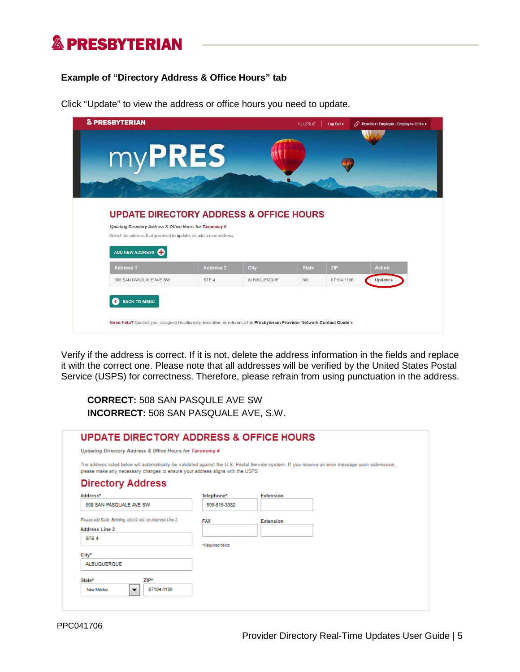### **Example of "Directory Address & Office Hours" tab**

| myPRES                                                                                                                        |                  |      |              |     |               |
|-------------------------------------------------------------------------------------------------------------------------------|------------------|------|--------------|-----|---------------|
|                                                                                                                               |                  |      |              |     |               |
|                                                                                                                               |                  |      |              |     |               |
| <b>UPDATE DIRECTORY ADDRESS &amp; OFFICE HOURS</b>                                                                            |                  |      |              |     |               |
| Updating Directory Address & Office Hours for Taxonomy #<br>Select the address that you want to update, or add a new address. |                  |      |              |     |               |
| ADD NEW ADDRESS <b>CO</b>                                                                                                     |                  |      |              |     |               |
| Address <sub>1</sub>                                                                                                          | <b>Address 2</b> | City | <b>State</b> | ZIP | <b>Action</b> |

Click "Update" to view the address or office hours you need to update.

Verify if the address is correct. If it is not, delete the address information in the fields and replace it with the correct one. Please note that all addresses will be verified by the United States Postal Service (USPS) for correctness. Therefore, please refrain from using punctuation in the address.

**CORRECT:** 508 SAN PASQULE AVE SW **INCORRECT:** 508 SAN PASQUALE AVE, S.W.

| <b>UPDATE DIRECTORY ADDRESS &amp; OFFICE HOURS</b>                             |                  |                                                                                                                                                   |
|--------------------------------------------------------------------------------|------------------|---------------------------------------------------------------------------------------------------------------------------------------------------|
| Updating Directory Address & Office Hours for Taxonomy #                       |                  |                                                                                                                                                   |
| please make any necessary changes to ensure your address aligns with the USPS. |                  | The address listed below will automatically be validated against the U.S. Postal Service system. If you receive an error message upon submission, |
| <b>Directory Address</b>                                                       |                  |                                                                                                                                                   |
| Address*                                                                       | Telephone*       | <b>Extension</b>                                                                                                                                  |
| 508 SAN PASQUALE AVE SW                                                        | 505 815 3382     |                                                                                                                                                   |
| Please add Sulte, Bullding, Unit #, etc. on Address Line 2.                    | <b>FAX</b>       | <b>Extension</b>                                                                                                                                  |
| <b>Address Line 2</b>                                                          |                  |                                                                                                                                                   |
| STE 4                                                                          |                  |                                                                                                                                                   |
| City*                                                                          | *Regulred fields |                                                                                                                                                   |
| ALBUOUEROUF                                                                    |                  |                                                                                                                                                   |
| ZIP*<br>State*                                                                 |                  |                                                                                                                                                   |
| 87104-1136<br>New Mexico<br>$\overline{\phantom{a}}$                           |                  |                                                                                                                                                   |
|                                                                                |                  |                                                                                                                                                   |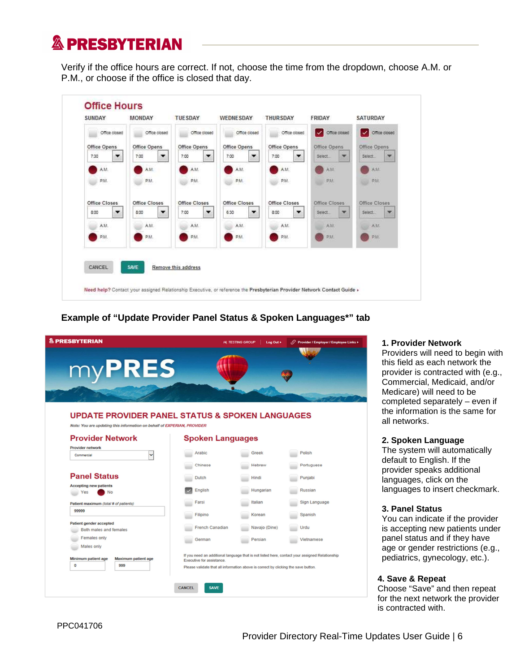Verify if the office hours are correct. If not, choose the time from the dropdown, choose A.M. or P.M., or choose if the office is closed that day.

| Office closed          | Office closed                    | Office closed                    | Office closed       | Office closed     | Office closed          | $\checkmark$<br>Office closed |
|------------------------|----------------------------------|----------------------------------|---------------------|-------------------|------------------------|-------------------------------|
| Office Opens           | Office Opens                     | Office Opens                     | <b>Office Opens</b> | Office Opens      | Office Opens           | Office Opens                  |
| 7:30<br>$\blacksquare$ | 7:00<br>$\overline{\phantom{a}}$ | 7:00<br>▼                        | 7:00<br>▼           | 7:00<br>▼         | Select<br>w            | Select<br>×                   |
| AM.                    | AM                               | AM.                              | AM.                 | A.M.              | A.31                   | AM                            |
| PM.                    | P.M.                             | P.M.                             | PM                  | P.M.              | PAL                    | PM                            |
| Office Closes          | Office Closes                    | Office Closes                    | Office Closes       | Office Closes     | Office Closes          | Office Closes                 |
| 8:00<br>$\mathbf{r}$   | 8:00<br>$\bullet$                | 7:00<br>$\overline{\phantom{a}}$ | $\bullet$<br>6:30   | $\bullet$<br>8.00 | Select<br>$\mathbf{w}$ | w.<br>Select.                 |
| A.M.                   | AM.                              | AM.                              | A.M.                | A.M.              | A.M.                   | AM.                           |
| P.M.                   | P.M.                             | PM.                              | P.M.                | P.M.              | PM                     | PAIL                          |
|                        |                                  |                                  |                     |                   |                        |                               |

## **Example of "Update Provider Panel Status & Spoken Languages\*" tab**

|                                                                                                                                                                  |                                | <b>Hi, TESTING GROUP</b><br>Log Out > | ○ Provider / Employer / Employee Links ▶ |
|------------------------------------------------------------------------------------------------------------------------------------------------------------------|--------------------------------|---------------------------------------|------------------------------------------|
| $my$ PRES                                                                                                                                                        |                                |                                       |                                          |
| <b>UPDATE PROVIDER PANEL STATUS &amp; SPOKEN LANGUAGES</b><br>Note: You are updating this information on behalf of EXPERIAN, PROVIDER<br><b>Provider Network</b> | <b>Spoken Languages</b>        |                                       |                                          |
| <b>Provider network</b><br>Commercial                                                                                                                            | Arabic                         | <b>Greek</b>                          | Polish                                   |
| <b>Panel Status</b>                                                                                                                                              | <b>Chinese</b><br><b>Dutch</b> | Hebrew<br>Hindi                       | Portuguese<br>Punjabi                    |
| <b>Accepting new patients</b><br>Yes<br><b>No</b>                                                                                                                | <b>English</b>                 | Hungarian                             | <b>Russian</b>                           |
| Patient maximum (total # of patients)<br>99999                                                                                                                   | Farsi                          | <b>Italian</b>                        | <b>Sign Language</b>                     |
|                                                                                                                                                                  | Filipino                       | Korean                                | Spanish                                  |
| Patient gender accepted<br>Both males and females                                                                                                                | <b>French Canadian</b>         | Navajo (Dine)                         | Urdu                                     |
| <b>Females only</b><br><b>Males only</b>                                                                                                                         | German                         | Persian                               | Vietnamese                               |

#### **1. Provider Network**

Providers will need to begin with this field as each network the provider is contracted with (e.g., Commercial, Medicaid, and/or Medicare) will need to be completed separately – even if the information is the same for all networks.

#### **2. Spoken Language**

The system will automatically default to English. If the provider speaks additional languages, click on the languages to insert checkmark.

#### **3. Panel Status**

You can indicate if the provider is accepting new patients under panel status and if they have age or gender restrictions (e.g., pediatrics, gynecology, etc.).

### **4. Save & Repeat**

Choose "Save" and then repeat for the next network the provider is contracted with.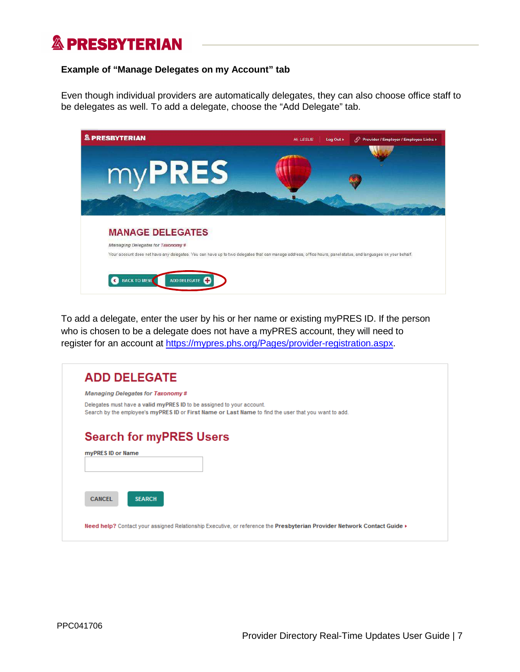### **Example of "Manage Delegates on my Account" tab**

Even though individual providers are automatically delegates, they can also choose office staff to be delegates as well. To add a delegate, choose the "Add Delegate" tab.

| Your account does not have any delegates. You can have up to two delegates that can manage address, office hours, panel status, and languages on your behalf. |
|---------------------------------------------------------------------------------------------------------------------------------------------------------------|
|                                                                                                                                                               |

To add a delegate, enter the user by his or her name or existing myPRES ID. If the person who is chosen to be a delegate does not have a myPRES account, they will need to register for an account at [https://mypres.phs.org/Pages/provider-registration.asp](https://mypres.phs.org/Pages/provider-registration.aspx)x.

|                   | <b>ADD DELEGATE</b>                                                                                                                                                           |
|-------------------|-------------------------------------------------------------------------------------------------------------------------------------------------------------------------------|
|                   | <b>Managing Delegates for Taxonomy#</b>                                                                                                                                       |
|                   | Delegates must have a valid myPRES ID to be assigned to your account.<br>Search by the employee's myPRES ID or First Name or Last Name to find the user that you want to add. |
|                   | <b>Search for myPRES Users</b>                                                                                                                                                |
|                   |                                                                                                                                                                               |
|                   |                                                                                                                                                                               |
| myPRES ID or Name |                                                                                                                                                                               |
|                   |                                                                                                                                                                               |
| <b>CANCEL</b>     | <b>SEARCH</b>                                                                                                                                                                 |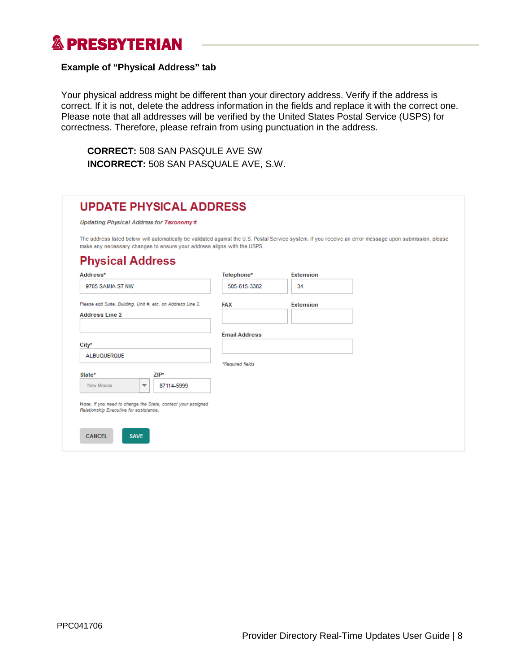### **Example of "Physical Address" tab**

Your physical address might be different than your directory address. Verify if the address is correct. If it is not, delete the address information in the fields and replace it with the correct one. Please note that all addresses will be verified by the United States Postal Service (USPS) for correctness. Therefore, please refrain from using punctuation in the address.

**CORRECT:** 508 SAN PASQULE AVE SW **INCORRECT:** 508 SAN PASQUALE AVE, S.W.

| Updating Physical Address for Taxonomy#                                                                |                      |                                                                                                                                                          |
|--------------------------------------------------------------------------------------------------------|----------------------|----------------------------------------------------------------------------------------------------------------------------------------------------------|
| make any necessary changes to ensure your address aligns with the USPS.                                |                      | The address listed below will automatically be validated against the U.S. Postal Service system. If you receive an error message upon submission, please |
| <b>Physical Address</b>                                                                                |                      |                                                                                                                                                          |
| Address*                                                                                               | Telephone*           | Extension                                                                                                                                                |
| 9705 SAMIA ST NW                                                                                       | 505-615-3382         | 34                                                                                                                                                       |
| Please add Suite, Building, Unit #, etc. on Address Line 2.<br><b>Address Line 2</b>                   | <b>FAX</b>           | <b>Extension</b>                                                                                                                                         |
|                                                                                                        | <b>Email Address</b> |                                                                                                                                                          |
| City*                                                                                                  |                      |                                                                                                                                                          |
| <b>ALBUQUERQUE</b>                                                                                     | *Required fields     |                                                                                                                                                          |
| State*<br>$ZIP*$<br>New Mexico<br>87114-5999<br>$\overline{\phantom{a}}$                               |                      |                                                                                                                                                          |
| Note: If you need to change the State, contact your assigned<br>Relationship Executive for assistance. |                      |                                                                                                                                                          |